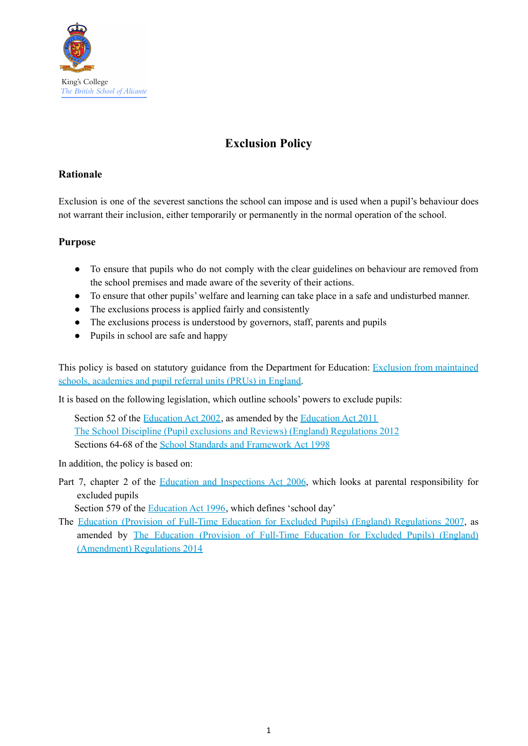

# **Exclusion Policy**

# **Rationale**

Exclusion is one of the severest sanctions the school can impose and is used when a pupil's behaviour does not warrant their inclusion, either temporarily or permanently in the normal operation of the school.

# **Purpose**

- To ensure that pupils who do not comply with the clear guidelines on behaviour are removed from the school premises and made aware of the severity of their actions.
- To ensure that other pupils' welfare and learning can take place in a safe and undisturbed manner.
- The exclusions process is applied fairly and consistently
- The exclusions process is understood by governors, staff, parents and pupils
- Pupils in school are safe and happy

This policy is based on statutory guidance from the Department for Education: Exclusion from [maintained](https://www.gov.uk/government/publications/school-exclusion) schools, [academies](https://www.gov.uk/government/publications/school-exclusion) and pupil referral units (PRUs) in England.

It is based on the following legislation, which outline schools' powers to exclude pupils:

Section 52 of the [Education](http://www.legislation.gov.uk/ukpga/2002/32/section/52) Act 2002, as amended by the [Education](http://www.legislation.gov.uk/ukpga/2011/21/contents/enacted) Act 2011 The School Discipline (Pupil exclusions and Reviews) (England) [Regulations](http://www.legislation.gov.uk/uksi/2012/1033/made) 2012 Sections 64-68 of the School Standards and [Framework](http://www.legislation.gov.uk/ukpga/1998/31) Act 1998

In addition, the policy is based on:

Part 7, chapter 2 of the Education and [Inspections](http://www.legislation.gov.uk/ukpga/2006/40/part/7/chapter/2) Act 2006, which looks at parental responsibility for excluded pupils

Section 579 of the [Education](http://www.legislation.gov.uk/ukpga/1996/56/section/579) Act 1996, which defines 'school day'

The Education (Provision of Full-Time Education for Excluded Pupils) (England) [Regulations](http://www.legislation.gov.uk/uksi/2007/1870/contents/made) 2007, as amended by The Education [\(Provision](http://www.legislation.gov.uk/uksi/2014/3216/contents/made) of Full-Time Education for Excluded Pupils) (England) [\(Amendment\)](http://www.legislation.gov.uk/uksi/2014/3216/contents/made) Regulations 2014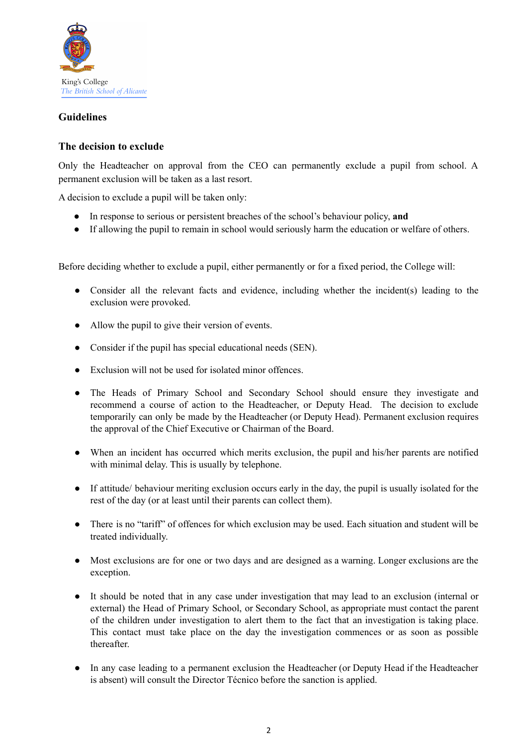

# **Guidelines**

# **The decision to exclude**

Only the Headteacher on approval from the CEO can permanently exclude a pupil from school. A permanent exclusion will be taken as a last resort.

A decision to exclude a pupil will be taken only:

- In response to serious or persistent breaches of the school's behaviour policy, **and**
- If allowing the pupil to remain in school would seriously harm the education or welfare of others.

Before deciding whether to exclude a pupil, either permanently or for a fixed period, the College will:

- Consider all the relevant facts and evidence, including whether the incident(s) leading to the exclusion were provoked.
- Allow the pupil to give their version of events.
- Consider if the pupil has special educational needs (SEN).
- Exclusion will not be used for isolated minor offences.
- The Heads of Primary School and Secondary School should ensure they investigate and recommend a course of action to the Headteacher, or Deputy Head. The decision to exclude temporarily can only be made by the Headteacher (or Deputy Head). Permanent exclusion requires the approval of the Chief Executive or Chairman of the Board.
- When an incident has occurred which merits exclusion, the pupil and his/her parents are notified with minimal delay. This is usually by telephone.
- If attitude/ behaviour meriting exclusion occurs early in the day, the pupil is usually isolated for the rest of the day (or at least until their parents can collect them).
- There is no "tariff" of offences for which exclusion may be used. Each situation and student will be treated individually.
- Most exclusions are for one or two days and are designed as a warning. Longer exclusions are the exception.
- It should be noted that in any case under investigation that may lead to an exclusion (internal or external) the Head of Primary School, or Secondary School, as appropriate must contact the parent of the children under investigation to alert them to the fact that an investigation is taking place. This contact must take place on the day the investigation commences or as soon as possible thereafter.
- In any case leading to a permanent exclusion the Headteacher (or Deputy Head if the Headteacher is absent) will consult the Director Técnico before the sanction is applied.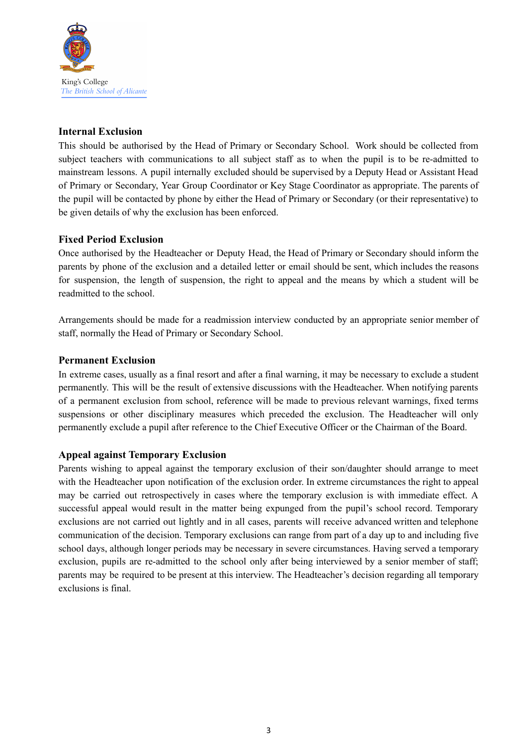

# **Internal Exclusion**

This should be authorised by the Head of Primary or Secondary School. Work should be collected from subject teachers with communications to all subject staff as to when the pupil is to be re-admitted to mainstream lessons. A pupil internally excluded should be supervised by a Deputy Head or Assistant Head of Primary or Secondary, Year Group Coordinator or Key Stage Coordinator as appropriate. The parents of the pupil will be contacted by phone by either the Head of Primary or Secondary (or their representative) to be given details of why the exclusion has been enforced.

# **Fixed Period Exclusion**

Once authorised by the Headteacher or Deputy Head, the Head of Primary or Secondary should inform the parents by phone of the exclusion and a detailed letter or email should be sent, which includes the reasons for suspension, the length of suspension, the right to appeal and the means by which a student will be readmitted to the school.

Arrangements should be made for a readmission interview conducted by an appropriate senior member of staff, normally the Head of Primary or Secondary School.

# **Permanent Exclusion**

In extreme cases, usually as a final resort and after a final warning, it may be necessary to exclude a student permanently. This will be the result of extensive discussions with the Headteacher. When notifying parents of a permanent exclusion from school, reference will be made to previous relevant warnings, fixed terms suspensions or other disciplinary measures which preceded the exclusion. The Headteacher will only permanently exclude a pupil after reference to the Chief Executive Officer or the Chairman of the Board.

# **Appeal against Temporary Exclusion**

Parents wishing to appeal against the temporary exclusion of their son/daughter should arrange to meet with the Headteacher upon notification of the exclusion order. In extreme circumstances the right to appeal may be carried out retrospectively in cases where the temporary exclusion is with immediate effect. A successful appeal would result in the matter being expunged from the pupil's school record. Temporary exclusions are not carried out lightly and in all cases, parents will receive advanced written and telephone communication of the decision. Temporary exclusions can range from part of a day up to and including five school days, although longer periods may be necessary in severe circumstances. Having served a temporary exclusion, pupils are re-admitted to the school only after being interviewed by a senior member of staff; parents may be required to be present at this interview. The Headteacher's decision regarding all temporary exclusions is final.